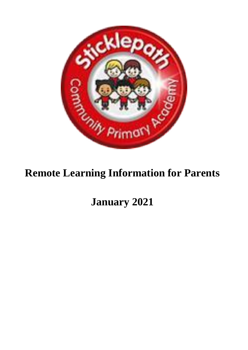

# **Remote Learning Information for Parents**

**January 2021**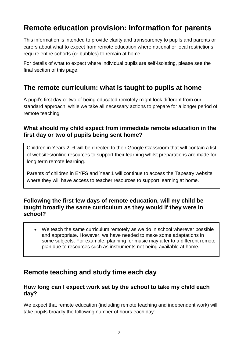# **Remote education provision: information for parents**

This information is intended to provide clarity and transparency to pupils and parents or carers about what to expect from remote education where national or local restrictions require entire cohorts (or bubbles) to remain at home.

For details of what to expect where individual pupils are self-isolating, please see the final section of this page.

## **The remote curriculum: what is taught to pupils at home**

A pupil's first day or two of being educated remotely might look different from our standard approach, while we take all necessary actions to prepare for a longer period of remote teaching.

#### **What should my child expect from immediate remote education in the first day or two of pupils being sent home?**

Children in Years 2 -6 will be directed to their Google Classroom that will contain a list of websites/online resources to support their learning whilst preparations are made for long term remote learning.

Parents of children in EYFS and Year 1 will continue to access the Tapestry website where they will have access to teacher resources to support learning at home.

#### **Following the first few days of remote education, will my child be taught broadly the same curriculum as they would if they were in school?**

 We teach the same curriculum remotely as we do in school wherever possible and appropriate. However, we have needed to make some adaptations in some subjects. For example, planning for music may alter to a different remote plan due to resources such as instruments not being available at home.

# **Remote teaching and study time each day**

#### **How long can I expect work set by the school to take my child each day?**

We expect that remote education (including remote teaching and independent work) will take pupils broadly the following number of hours each day: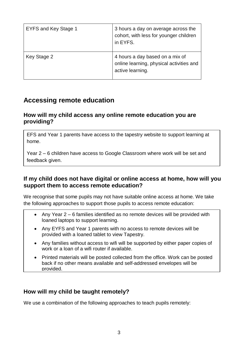| EYFS and Key Stage 1 | 3 hours a day on average across the<br>cohort, with less for younger children<br>in EYFS.       |
|----------------------|-------------------------------------------------------------------------------------------------|
| Key Stage 2          | 4 hours a day based on a mix of<br>online learning, physical activities and<br>active learning. |

### **Accessing remote education**

#### **How will my child access any online remote education you are providing?**

EFS and Year 1 parents have access to the tapestry website to support learning at home.

Year 2 – 6 children have access to Google Classroom where work will be set and feedback given.

#### **If my child does not have digital or online access at home, how will you support them to access remote education?**

We recognise that some pupils may not have suitable online access at home. We take the following approaches to support those pupils to access remote education:

- Any Year 2 6 families identified as no remote devices will be provided with loaned laptops to support learning.
- Any EYFS and Year 1 parents with no access to remote devices will be provided with a loaned tablet to view Tapestry.
- Any families without access to wifi will be supported by either paper copies of work or a loan of a wifi router if available.
- Printed materials will be posted collected from the office. Work can be posted back if no other means available and self-addressed envelopes will be provided.

#### **How will my child be taught remotely?**

We use a combination of the following approaches to teach pupils remotely: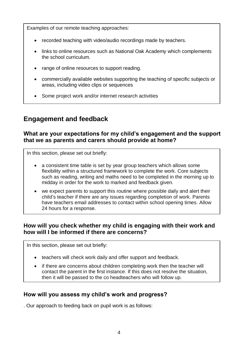Examples of our remote teaching approaches:

- recorded teaching with video/audio recordings made by teachers.
- links to online resources such as National Oak Academy which complements the school curriculum.
- range of online resources to support reading.
- commercially available websites supporting the teaching of specific subjects or areas, including video clips or sequences
- Some project work and/or internet research activities

# **Engagement and feedback**

#### **What are your expectations for my child's engagement and the support that we as parents and carers should provide at home?**

In this section, please set out briefly:

- a consistent time table is set by year group teachers which allows some flexibility within a structured framework to complete the work. Core subjects such as reading, writing and maths need to be completed in the morning up to midday in order for the work to marked and feedback given.
- we expect parents to support this routine where possible daily and alert their child's teacher if there are any issues regarding completion of work. Parents have teachers email addresses to contact within school opening times. Allow 24 hours for a response.

#### **How will you check whether my child is engaging with their work and how will I be informed if there are concerns?**

In this section, please set out briefly:

- teachers will check work daily and offer support and feedback.
- if there are concerns about children completing work then the teacher will contact the parent in the first instance. If this does not resolve the situation, then it will be passed to the co headteachers who will follow up.

#### **How will you assess my child's work and progress?**

. Our approach to feeding back on pupil work is as follows: